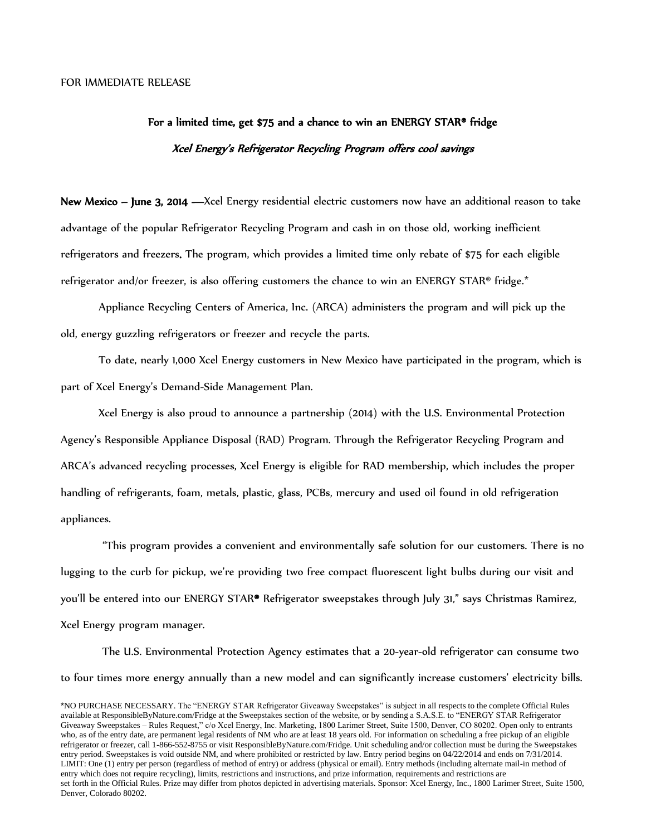## For a limited time, get \$75 and a chance to win an ENERGY STAR® fridge Xcel Energy's Refrigerator Recycling Program offers cool savings

New Mexico – June 3, 2014 —Xcel Energy residential electric customers now have an additional reason to take advantage of the popular Refrigerator Recycling Program and cash in on those old, working inefficient refrigerators and freezers. The program, which provides a limited time only rebate of \$75 for each eligible refrigerator and/or freezer, is also offering customers the chance to win an ENERGY STAR® fridge.\*

Appliance Recycling Centers of America, Inc. (ARCA) administers the program and will pick up the old, energy guzzling refrigerators or freezer and recycle the parts.

To date, nearly 1,000 Xcel Energy customers in New Mexico have participated in the program, which is part of Xcel Energy's Demand-Side Management Plan.

Xcel Energy is also proud to announce a partnership (2014) with the U.S. Environmental Protection Agency's Responsible Appliance Disposal (RAD) Program. Through the Refrigerator Recycling Program and ARCA's advanced recycling processes, Xcel Energy is eligible for RAD membership, which includes the proper handling of refrigerants, foam, metals, plastic, glass, PCBs, mercury and used oil found in old refrigeration appliances.

"This program provides a convenient and environmentally safe solution for our customers. There is no lugging to the curb for pickup, we're providing two free compact fluorescent light bulbs during our visit and you'll be entered into our ENERGY STAR® Refrigerator sweepstakes through July 31," says Christmas Ramirez, Xcel Energy program manager.

The U.S. Environmental Protection Agency estimates that a 20-year-old refrigerator can consume two to four times more energy annually than a new model and can significantly increase customers' electricity bills.

<sup>\*</sup>NO PURCHASE NECESSARY. The "ENERGY STAR Refrigerator Giveaway Sweepstakes" is subject in all respects to the complete Official Rules available at ResponsibleByNature.com/Fridge at the Sweepstakes section of the website, or by sending a S.A.S.E. to "ENERGY STAR Refrigerator Giveaway Sweepstakes – Rules Request," c/o Xcel Energy, Inc. Marketing, 1800 Larimer Street, Suite 1500, Denver, CO 80202. Open only to entrants who, as of the entry date, are permanent legal residents of NM who are at least 18 years old. For information on scheduling a free pickup of an eligible refrigerator or freezer, call 1-866-552-8755 or visit ResponsibleByNature.com/Fridge. Unit scheduling and/or collection must be during the Sweepstakes entry period. Sweepstakes is void outside NM, and where prohibited or restricted by law. Entry period begins on 04/22/2014 and ends on 7/31/2014. LIMIT: One (1) entry per person (regardless of method of entry) or address (physical or email). Entry methods (including alternate mail-in method of entry which does not require recycling), limits, restrictions and instructions, and prize information, requirements and restrictions are set forth in the Official Rules. Prize may differ from photos depicted in advertising materials. Sponsor: Xcel Energy, Inc., 1800 Larimer Street, Suite 1500, Denver, Colorado 80202.